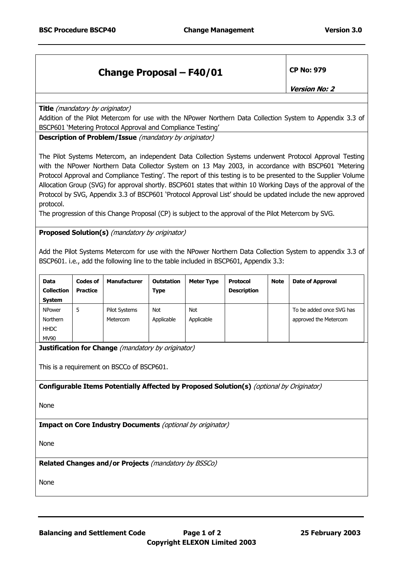## **Change Proposal – F40/01 CP No: 979**

**Version No: 2** 

**Title** (mandatory by originator)

Addition of the Pilot Metercom for use with the NPower Northern Data Collection System to Appendix 3.3 of BSCP601 'Metering Protocol Approval and Compliance Testing'

**Description of Problem/Issue** (mandatory by originator)

The Pilot Systems Metercom, an independent Data Collection Systems underwent Protocol Approval Testing with the NPower Northern Data Collector System on 13 May 2003, in accordance with BSCP601 'Metering Protocol Approval and Compliance Testing'. The report of this testing is to be presented to the Supplier Volume Allocation Group (SVG) for approval shortly. BSCP601 states that within 10 Working Days of the approval of the Protocol by SVG, Appendix 3.3 of BSCP601 'Protocol Approval List' should be updated include the new approved protocol.

The progression of this Change Proposal (CP) is subject to the approval of the Pilot Metercom by SVG.

**Proposed Solution(s)** (mandatory by originator)

Add the Pilot Systems Metercom for use with the NPower Northern Data Collection System to appendix 3.3 of BSCP601. i.e., add the following line to the table included in BSCP601, Appendix 3.3:

| <b>Data</b><br><b>Collection</b><br><b>System</b> | <b>Codes of</b><br>Practice | <b>Manufacturer</b>  | <b>Outstation</b><br>Type | <b>Meter Type</b> | Protocol<br><b>Description</b> | <b>Note</b> | <b>Date of Approval</b>  |
|---------------------------------------------------|-----------------------------|----------------------|---------------------------|-------------------|--------------------------------|-------------|--------------------------|
| <b>NPower</b>                                     | 5                           | <b>Pilot Systems</b> | <b>Not</b>                | Not               |                                |             | To be added once SVG has |
| Northern                                          |                             | Metercom             | Applicable                | Applicable        |                                |             | approved the Metercom    |
| <b>HHDC</b>                                       |                             |                      |                           |                   |                                |             |                          |
| <b>MV90</b>                                       |                             |                      |                           |                   |                                |             |                          |

**Justification for Change** (mandatory by originator)

This is a requirement on BSCCo of BSCP601.

**Configurable Items Potentially Affected by Proposed Solution(s)** (optional by Originator)

None

**Impact on Core Industry Documents** (optional by originator)

None

**Related Changes and/or Projects** (mandatory by BSSCo)

None